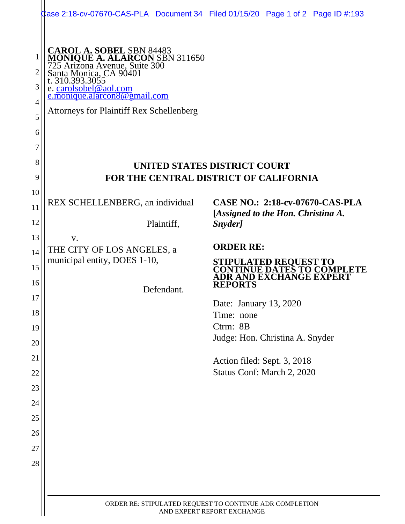|                                                   |                                                                                                                                                                                                                                                                   | 2 ase 2:18-cv-07670-CAS-PLA Document 34 Filed 01/15/20 Page 1 of 2 Page ID #:193 |
|---------------------------------------------------|-------------------------------------------------------------------------------------------------------------------------------------------------------------------------------------------------------------------------------------------------------------------|----------------------------------------------------------------------------------|
| 1<br>2<br>3<br>$\overline{4}$<br>5<br>6<br>7<br>8 | <b>CAROL A. SOBEL SBN 84483</b><br><b>MONIQUE A. ALARCON</b> SBN 311650<br>725 Arizona Avenue, Suite 300<br>Santa Monica, CA 90401<br>t. 310.393.3055<br>e. carolsobel@aol.com<br>e.monique.alarcon8@gmail.com<br><b>Attorneys for Plaintiff Rex Schellenberg</b> | UNITED STATES DISTRICT COURT                                                     |
| 9                                                 | <b>FOR THE CENTRAL DISTRICT OF CALIFORNIA</b>                                                                                                                                                                                                                     |                                                                                  |
| 10<br>11                                          | REX SCHELLENBERG, an individual                                                                                                                                                                                                                                   | <b>CASE NO.: 2:18-cv-07670-CAS-PLA</b><br>[Assigned to the Hon. Christina A.     |
| 12                                                | Plaintiff,                                                                                                                                                                                                                                                        | Snyder]                                                                          |
| 13                                                | V.                                                                                                                                                                                                                                                                | <b>ORDER RE:</b>                                                                 |
| 14                                                | THE CITY OF LOS ANGELES, a<br>municipal entity, DOES 1-10,                                                                                                                                                                                                        | STIPULATED REQUEST TO                                                            |
| 15                                                |                                                                                                                                                                                                                                                                   | CONTINUE DATES TO COM<br>DR AND EXCHANGE EXPERT                                  |
| 16                                                | Defendant.                                                                                                                                                                                                                                                        | <b>REPORTS</b>                                                                   |
| $17\,$<br>18                                      |                                                                                                                                                                                                                                                                   | Date: January 13, 2020                                                           |
| 19                                                |                                                                                                                                                                                                                                                                   | Time: none<br>Ctrm: 8B                                                           |
| 20                                                |                                                                                                                                                                                                                                                                   | Judge: Hon. Christina A. Snyder                                                  |
| 21                                                |                                                                                                                                                                                                                                                                   | Action filed: Sept. 3, 2018                                                      |
| 22                                                |                                                                                                                                                                                                                                                                   | Status Conf: March 2, 2020                                                       |
| 23                                                |                                                                                                                                                                                                                                                                   |                                                                                  |
| 24                                                |                                                                                                                                                                                                                                                                   |                                                                                  |
| 25                                                |                                                                                                                                                                                                                                                                   |                                                                                  |
| 26                                                |                                                                                                                                                                                                                                                                   |                                                                                  |
| 27                                                |                                                                                                                                                                                                                                                                   |                                                                                  |
| 28                                                |                                                                                                                                                                                                                                                                   |                                                                                  |
|                                                   |                                                                                                                                                                                                                                                                   |                                                                                  |
|                                                   | ORDER RE: STIPULATED REQUEST TO CONTINUE ADR COMPLETION<br>AND EXPERT REPORT EXCHANGE                                                                                                                                                                             |                                                                                  |